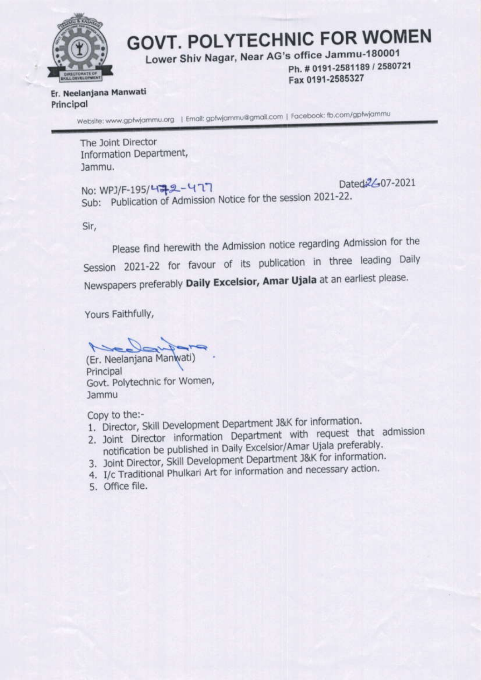

# **GOVT. POLYTECHNIC FOR WOMEN**

Lower Shiv Nagar, Near AG's office Jammu-180001

Ph. # 0191-2581189 / 2580721 Fax 0191-2585327

Er. Neelanjana Manwati Principal

Website: www.gptwjammu.org | Email: gptwjammu@gmail.com | Facebook: fb.com/gptwjammu

The Joint Director Information Department, Jammu.

Dated 2/-07-2021 No: WPJ/F-195/472-477 Sub: Publication of Admission Notice for the session 2021-22.

Sir.

Please find herewith the Admission notice regarding Admission for the Session 2021-22 for favour of its publication in three leading Daily Newspapers preferably Daily Excelsior, Amar Ujala at an earliest please.

Yours Faithfully,

(Er. Neelanjana Manwati) Principal Govt. Polytechnic for Women, **Jammu** 

Copy to the:-

- 1. Director, Skill Development Department J&K for information.
- 2. Joint Director information Department with request that admission notification be published in Daily Excelsior/Amar Ujala preferably.
- 3. Joint Director, Skill Development Department J&K for information.
- 4. I/c Traditional Phulkari Art for information and necessary action.
- 5. Office file.